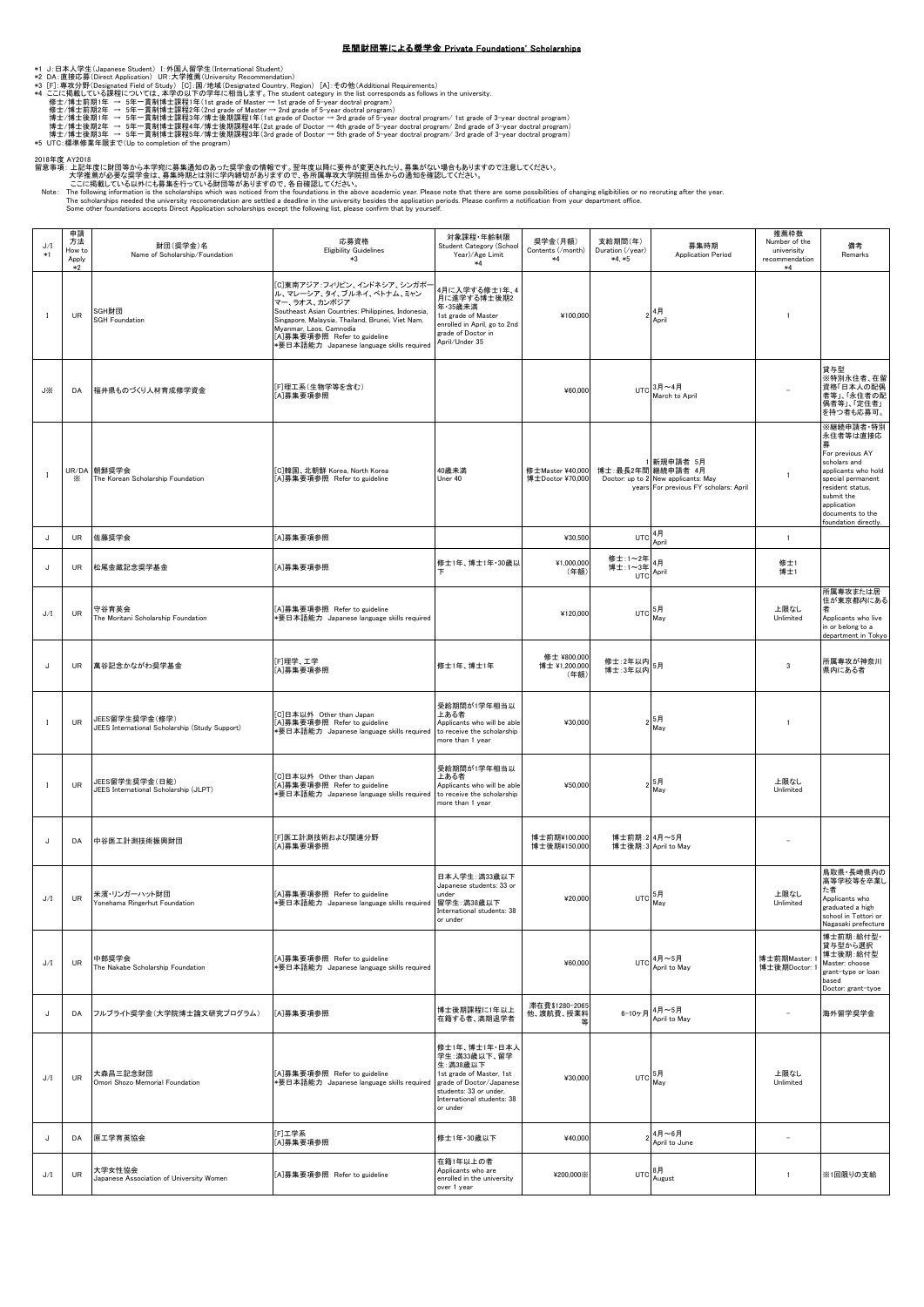## 民間財団等による奨学金 Private Foundations' Scholarships

- 
- 
- 

\*1 J : 日本人学生(Japanese Student) ]: 外国人留学生(International Student)<br>\*2 DA:直接応募(Diesiented Field of Study) [G]:国連管生(International Studenty, Region) [A]:その他(Additional Requirements)<br>\*4 ここに掲載している課程については、本学の以下の学年に相当にます。The stude

2018年度(AVD18<br>留意事項:上記年度に財団等から本学宛に募集通知のあった奨学金の情報です。翌年度以降に要件が変更されたり、募集がない場合もありますので注意してください。<br>- 大学推薦が必要な奨学金は、募集時期とは別に学内締切がありますので、各所属専攻大学院担当係からの通知を確認してください。<br>- こに掲載している以外にも募集を行っている財団等がありますので、各自確認してください。<br>- The following informat

| J/I<br>$*1$  | 申請<br>方法<br>How to<br>Apply<br>$*2$ | 財団(奨学金)名<br>Name of Scholarship/Foundation                       | 応募資格<br><b>Eligibility Guidelines</b><br>$*3$                                                                                                                                                                                                                                             | 対象課程·年齢制限<br>Student Category (School<br>Year)/Age Limit<br>$*4$                                                                                                      | 奨学金(月額)<br>Contents (/month)<br>$*4$ | 支給期間(年)<br>Duration (/year)<br>$*4, *5$ | 募集時期<br><b>Application Period</b>                                                                               | 推薦枠数<br>Number of the<br>univerisity<br>recommendation<br>$*4$ | 備考<br>Remarks                                                                                                                                                                                     |
|--------------|-------------------------------------|------------------------------------------------------------------|-------------------------------------------------------------------------------------------------------------------------------------------------------------------------------------------------------------------------------------------------------------------------------------------|-----------------------------------------------------------------------------------------------------------------------------------------------------------------------|--------------------------------------|-----------------------------------------|-----------------------------------------------------------------------------------------------------------------|----------------------------------------------------------------|---------------------------------------------------------------------------------------------------------------------------------------------------------------------------------------------------|
| $\mathbf{I}$ | UR                                  | SGH財団<br><b>SGH Foundation</b>                                   | [C]東南アジア:フィリピン、インドネシア、シンガポー<br>ル、マレーシア、タイ、ブルネイ、ベトナム、ミャン<br>マー、ラオス、カンボジア<br>Southeast Asian Countries: Philippines, Indonesia,<br>Singapore, Malaysia, Thailand, Brunei, Viet Nam,<br>Myanmar, Laos, Camnodia<br>[A]募集要項参照 Refer to guideline<br>*要日本語能力 Japanese language skills required | 4月に入学する修士1年、4<br>月に進学する博士後期2<br>年·35歳未満<br>1st grade of Master<br>enrolled in April, go to 2nd<br>grade of Doctor in<br>April/Under 35                                | ¥100,000                             |                                         | $2^{4H}$<br>April                                                                                               | $\mathbf{1}$                                                   |                                                                                                                                                                                                   |
| J※           | DA                                  | 福井県ものづくり人材育成修学資金                                                 | [F]理工系(生物学等を含む)<br>[A]募集要項参照                                                                                                                                                                                                                                                              |                                                                                                                                                                       | ¥60,000                              |                                         | UTC $3月 ~ 4月$<br>March to April                                                                                 |                                                                | 貸与型<br>※特別永住者、在留<br>資格「日本人の配偶<br>者等」、「永住者の配<br>偶者等」、「定住者」<br>を持つ者も応募可。                                                                                                                            |
| $\mathbf{I}$ | ⋇                                   | UR/DA 朝鮮奨学会<br>The Korean Scholarship Foundation                 | [C]韓国、北朝鮮 Korea, North Korea<br>[A]募集要項参照 Refer to guideline                                                                                                                                                                                                                              | 40歳未満<br>Uner 40                                                                                                                                                      | 修士Master ¥40,000<br>博士Doctor ¥70,000 |                                         | 1 新規申請者 5月<br>博士:最長2年間 継続申請者 4月<br>Doctor: up to 2 New applicants: May<br>years For previous FY scholars: April | $\mathbf{1}$                                                   | ※継続申請者·特別<br>永住者等は直接応<br>For previous AY<br>scholars and<br>applicants who hold<br>special permanent<br>resident status,<br>submit the<br>application<br>documents to the<br>foundation directly. |
| IJ           | UR                                  | 佐藤奨学会                                                            | [A]募集要項参照                                                                                                                                                                                                                                                                                 |                                                                                                                                                                       | ¥30,500                              | UT <sub>C</sub>                         | 4月<br>April                                                                                                     | $\mathbf{1}$                                                   |                                                                                                                                                                                                   |
| IJ           | <b>UR</b>                           | 松尾金藏記念奨学基金                                                       | [A]募集要項参照                                                                                                                                                                                                                                                                                 | 修士1年、博士1年·30歳以                                                                                                                                                        | ¥1,000,000<br>(年額)                   | 修士:1~2年<br>博士:1~3年4月<br>UTC             | April                                                                                                           | 修士1<br>博士1                                                     |                                                                                                                                                                                                   |
| J/I          | UR                                  | 守谷育英会<br>The Moritani Scholarship Foundation                     | [A]募集要項参照 Refer to guideline<br>*要日本語能力 Japanese language skills required                                                                                                                                                                                                                 |                                                                                                                                                                       | ¥120,000                             | UTC 5月<br>May                           |                                                                                                                 | 上限なし<br>Unlimited                                              | 所属専攻または居<br>住が東京都内にある<br>Applicants who live<br>in or belong to a<br>department in Tokyo                                                                                                          |
| IJ           | UR                                  | 萬谷記念かながわ奨学基金                                                     | [F]理学、工学<br>[A]募集要項参照                                                                                                                                                                                                                                                                     | 修士1年、博士1年                                                                                                                                                             | 修士 ¥800,000<br>博士 ¥1,200,000<br>(年額) | 修士:2年以内<br>5月<br>博士: 3年以内               |                                                                                                                 | $\overline{3}$                                                 | 所属専攻が神奈川<br>県内にある者                                                                                                                                                                                |
| $\mathbf{I}$ | UR                                  | JEES留学生奨学金(修学)<br>JEES International Scholarship (Study Support) | [C]日本以外 Other than Japan<br>[A]募集要項参照 Refer to guideline<br>*要日本語能力 Japanese language skills required                                                                                                                                                                                     | 受給期間が1学年相当以<br>上ある者<br>Applicants who will be able<br>to receive the scholarship<br>more than 1 year                                                                  | ¥30,000                              |                                         | 5月<br>May                                                                                                       | 1                                                              |                                                                                                                                                                                                   |
| $\mathbf I$  | UR                                  | JEES留学生奨学金(日能)<br>JEES International Scholarship (JLPT)          | [C]日本以外 Other than Japan<br>[A]募集要項参照 Refer to guideline<br>*要日本語能力 Japanese language skills required                                                                                                                                                                                     | 受給期間が1学年相当以<br>上ある者<br>Applicants who will be able<br>to receive the scholarship<br>more than 1 year                                                                  | ¥50,000                              |                                         | $2\frac{5}{\text{May}}$                                                                                         | 上限なし<br>Unlimited                                              |                                                                                                                                                                                                   |
| J            | DA                                  | 中谷医工計測技術振興財団                                                     | [F]医工計測技術および関連分野<br>[A]募集要項参照                                                                                                                                                                                                                                                             |                                                                                                                                                                       | 博士前期¥100,000<br>博士後期¥150,000         | 博士前期: 24月~5月                            | 博士後期: 3 April to May                                                                                            | ÷                                                              |                                                                                                                                                                                                   |
| J/I          | UR                                  | 米濱・リンガーハット財団<br>Yonehama Ringerhut Foundation                    | [A]募集要項参照 Refer to guideline<br>*要日本語能力 Japanese language skills required 留学生:満38歳以下                                                                                                                                                                                                      | 日本人学生:満33歳以下<br>Japanese students: 33 or<br>under<br>International students: 38<br>or under                                                                           | ¥20.000                              | UTC                                     | 5月<br>May                                                                                                       | 上限なし<br>Unlimited                                              | 鳥取県・長崎県内の<br>高等学校等を卒業し<br>た者<br>Applicants who<br>graduated a high<br>school in Tottori or<br>Nagasaki prefecture                                                                                 |
| J/I          | UR                                  | 中部奨学会<br>The Nakabe Scholarship Foundation                       | [A]募集要項参照 Refer to guideline<br>*要日本語能力 Japanese language skills required                                                                                                                                                                                                                 |                                                                                                                                                                       | ¥60,000                              | UTC                                     | 4月~5月<br>April to May                                                                                           | 博士前期Master: 1<br>博士後期Doctor: 1                                 | 博士前期: 給付型·<br>貸与型から選択<br>博士後期:給付型<br>Master: choose<br>grant-type or loan<br>based<br>Doctor: grant-tyoe                                                                                          |
| J            | DA                                  | フルブライト奨学金(大学院博士論文研究プログラム)                                        | [A]募集要項参照                                                                                                                                                                                                                                                                                 | 博士後期課程に1年以上<br>在籍する者、満期退学者                                                                                                                                            | 滞在費\$1280-2065<br>他、渡航費、授業料<br>筜     |                                         | 6-10ヶ月4月~5月<br>April to May                                                                                     | ÷                                                              | 海外留学奨学金                                                                                                                                                                                           |
| J/I          | UR                                  | 大森昌三記念財団<br>Omori Shozo Memorial Foundation                      | [A]募集要項参照 Refer to guideline<br>*要日本語能力 Japanese language skills required                                                                                                                                                                                                                 | 修士1年、博士1年·日本人<br>学生:満33歳以下、留学<br>生:満38歳以下<br>1st grade of Master, 1st<br>grade of Doctor/Japanese<br>students: 33 or under,<br>International students: 38<br>or under | ¥30,000                              | UTC 5月<br>May                           |                                                                                                                 | 上限なし<br>Unlimited                                              |                                                                                                                                                                                                   |
| IJ           | DA                                  | 原工学育英協会                                                          | [F]工学系<br>[A]募集要項参照                                                                                                                                                                                                                                                                       | 修士1年·30歳以下                                                                                                                                                            | ¥40,000                              |                                         | 4月~6月<br>April to June                                                                                          | $\overline{\phantom{0}}$                                       |                                                                                                                                                                                                   |
| J/I          | UR                                  | 大学女性協会<br>Japanese Association of University Women               | [A]募集要項参照 Refer to guideline                                                                                                                                                                                                                                                              | 在籍1年以上の者<br>Applicants who are<br>enrolled in the university<br>over 1 year                                                                                           | ¥200,000%                            | $UTC$ $8\overline{A}$                   | August                                                                                                          | $\mathbf{1}$                                                   | ※1回限りの支給                                                                                                                                                                                          |